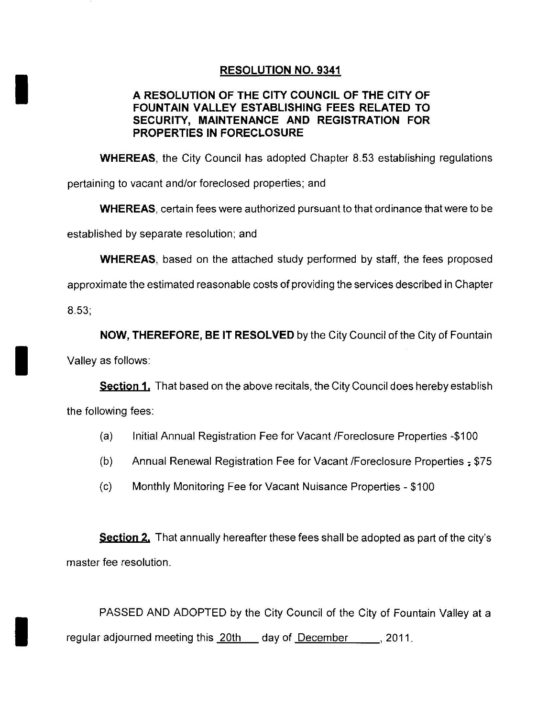## RESOLUTION NO. 9341

## A RESOLUTION OF THE CITY COUNCIL OF THE CITY OF FOUNTAIN VALLEY ESTABLISHING FEES RELATED TO SECURITY, MAINTENANCE AND REGISTRATION FOR PROPERTIES IN FORECLOSURE

WHEREAS, the City Council has adopted Chapter 8.53 establishing regulations

pertaining to vacant and/or foreclosed properties; and

WHEREAS certain fees were authorized pursuant to that ordinance that were to be

established by separate resolution; and

**WHEREAS**, based on the attached study performed by staff, the fees proposed

approximate the estimated reasonable costs of providing the services described in Chapter

 $8.53$ 

NOW, THEREFORE, BE IT RESOLVED by the City Council of the City of Fountain

Valley as follows:

**Section 1.** That based on the above recitals, the City Council does hereby establish the following fees

- (a) Initial Annual Registration Fee for Vacant / Foreclosure Properties -\$100
- (b) Annual Renewal Registration Fee for Vacant / Foreclosure Properties  $=$  \$75
- (c) Monthly Monitoring Fee for Vacant Nuisance Properties \$100

Section 2. That annually hereafter these fees shall be adopted as part of the city's master fee resolution

PASSED AND ADOPTED by the City Council of the City of Fountain Valley at a regular adjourned meeting this 20th \_ day of December \_\_\_\_, 2011.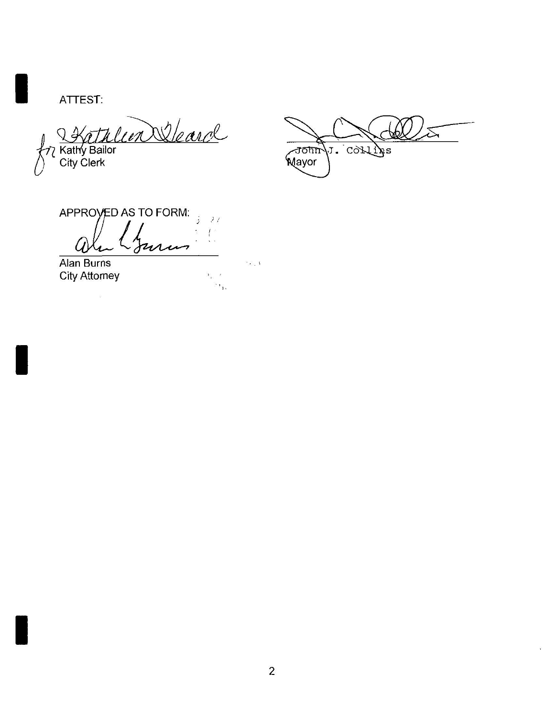ATTEST:

Entre de la Comme

 $\bar{\rightsquigarrow}$ John J. COLLINS

 $\ddot{\psi}$ 

APPROVED AS TO FORM:  $\frac{1}{2}$  $\mathcal{F}$  $I^*$ uru U.

Alan Burns **City Attorney** 

 $\overline{\omega}$ 

 $\sim 1$ 

 $Y_{\rm p} = 2$  $\mathbb{R}_{\mathcal{X}_1}$